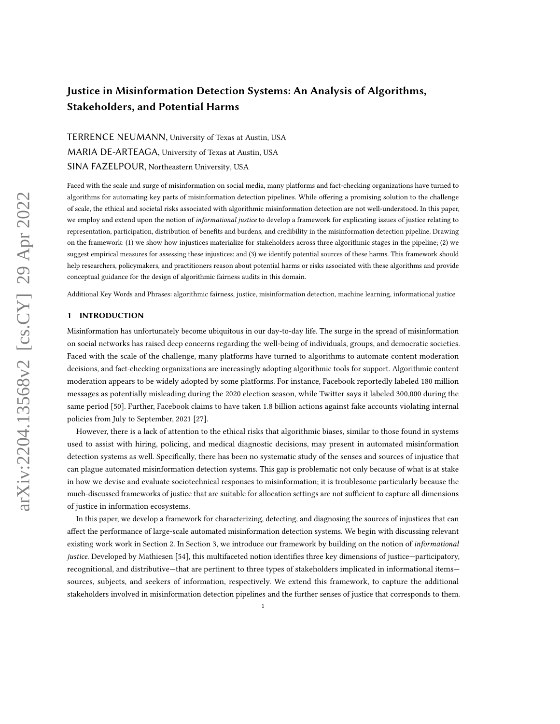# Justice in Misinformation Detection Systems: An Analysis of Algorithms, Stakeholders, and Potential Harms

TERRENCE NEUMANN, University of Texas at Austin, USA MARIA DE-ARTEAGA, University of Texas at Austin, USA SINA FAZELPOUR, Northeastern University, USA

Faced with the scale and surge of misinformation on social media, many platforms and fact-checking organizations have turned to algorithms for automating key parts of misinformation detection pipelines. While offering a promising solution to the challenge of scale, the ethical and societal risks associated with algorithmic misinformation detection are not well-understood. In this paper, we employ and extend upon the notion of *informational justice* to develop a framework for explicating issues of justice relating to representation, participation, distribution of benefits and burdens, and credibility in the misinformation detection pipeline. Drawing on the framework: (1) we show how injustices materialize for stakeholders across three algorithmic stages in the pipeline; (2) we suggest empirical measures for assessing these injustices; and (3) we identify potential sources of these harms. This framework should help researchers, policymakers, and practitioners reason about potential harms or risks associated with these algorithms and provide conceptual guidance for the design of algorithmic fairness audits in this domain.

Additional Key Words and Phrases: algorithmic fairness, justice, misinformation detection, machine learning, informational justice

# 1 INTRODUCTION

Misinformation has unfortunately become ubiquitous in our day-to-day life. The surge in the spread of misinformation on social networks has raised deep concerns regarding the well-being of individuals, groups, and democratic societies. Faced with the scale of the challenge, many platforms have turned to algorithms to automate content moderation decisions, and fact-checking organizations are increasingly adopting algorithmic tools for support. Algorithmic content moderation appears to be widely adopted by some platforms. For instance, Facebook reportedly labeled 180 million messages as potentially misleading during the 2020 election season, while Twitter says it labeled 300,000 during the same period [\[50\]](#page-16-0). Further, Facebook claims to have taken 1.8 billion actions against fake accounts violating internal policies from July to September, 2021 [\[27\]](#page-15-0).

However, there is a lack of attention to the ethical risks that algorithmic biases, similar to those found in systems used to assist with hiring, policing, and medical diagnostic decisions, may present in automated misinformation detection systems as well. Specifically, there has been no systematic study of the senses and sources of injustice that can plague automated misinformation detection systems. This gap is problematic not only because of what is at stake in how we devise and evaluate sociotechnical responses to misinformation; it is troublesome particularly because the much-discussed frameworks of justice that are suitable for allocation settings are not sufficient to capture all dimensions of justice in information ecosystems.

In this paper, we develop a framework for characterizing, detecting, and diagnosing the sources of injustices that can affect the performance of large-scale automated misinformation detection systems. We begin with discussing relevant existing work work in Section [2.](#page-1-0) In Section [3,](#page-3-0) we introduce our framework by building on the notion of informational justice. Developed by Mathiesen [\[54\]](#page-16-1), this multifaceted notion identifies three key dimensions of justice—participatory, recognitional, and distributive—that are pertinent to three types of stakeholders implicated in informational items sources, subjects, and seekers of information, respectively. We extend this framework, to capture the additional stakeholders involved in misinformation detection pipelines and the further senses of justice that corresponds to them.

1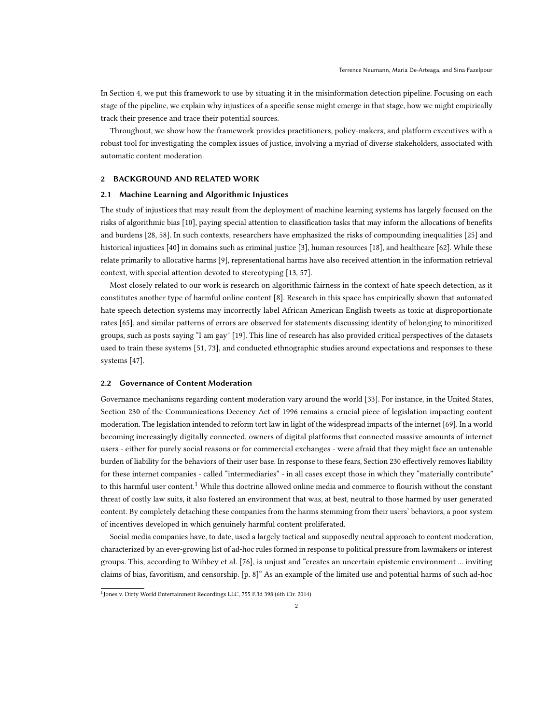In Section [4,](#page-6-0) we put this framework to use by situating it in the misinformation detection pipeline. Focusing on each stage of the pipeline, we explain why injustices of a specific sense might emerge in that stage, how we might empirically track their presence and trace their potential sources.

Throughout, we show how the framework provides practitioners, policy-makers, and platform executives with a robust tool for investigating the complex issues of justice, involving a myriad of diverse stakeholders, associated with automatic content moderation.

## <span id="page-1-0"></span>2 BACKGROUND AND RELATED WORK

## <span id="page-1-2"></span>2.1 Machine Learning and Algorithmic Injustices

The study of injustices that may result from the deployment of machine learning systems has largely focused on the risks of algorithmic bias [\[10\]](#page-15-1), paying special attention to classification tasks that may inform the allocations of benefits and burdens [\[28,](#page-15-2) [58\]](#page-16-2). In such contexts, researchers have emphasized the risks of compounding inequalities [\[25\]](#page-15-3) and historical injustices [\[40\]](#page-16-3) in domains such as criminal justice [\[3\]](#page-14-0), human resources [\[18\]](#page-15-4), and healthcare [\[62\]](#page-16-4). While these relate primarily to allocative harms [\[9\]](#page-15-5), representational harms have also received attention in the information retrieval context, with special attention devoted to stereotyping [\[13,](#page-15-6) [57\]](#page-16-5).

Most closely related to our work is research on algorithmic fairness in the context of hate speech detection, as it constitutes another type of harmful online content [\[8\]](#page-15-7). Research in this space has empirically shown that automated hate speech detection systems may incorrectly label African American English tweets as toxic at disproportionate rates [\[65\]](#page-17-0), and similar patterns of errors are observed for statements discussing identity of belonging to minoritized groups, such as posts saying "I am gay" [\[19\]](#page-15-8). This line of research has also provided critical perspectives of the datasets used to train these systems [\[51,](#page-16-6) [73\]](#page-17-1), and conducted ethnographic studies around expectations and responses to these systems [\[47\]](#page-16-7).

## 2.2 Governance of Content Moderation

Governance mechanisms regarding content moderation vary around the world [\[33\]](#page-15-9). For instance, in the United States, Section 230 of the Communications Decency Act of 1996 remains a crucial piece of legislation impacting content moderation. The legislation intended to reform tort law in light of the widespread impacts of the internet [\[69\]](#page-17-2). In a world becoming increasingly digitally connected, owners of digital platforms that connected massive amounts of internet users - either for purely social reasons or for commercial exchanges - were afraid that they might face an untenable burden of liability for the behaviors of their user base. In response to these fears, Section 230 effectively removes liability for these internet companies - called "intermediaries" - in all cases except those in which they "materially contribute" to this harmful user content.<sup>[1](#page-1-1)</sup> While this doctrine allowed online media and commerce to flourish without the constant threat of costly law suits, it also fostered an environment that was, at best, neutral to those harmed by user generated content. By completely detaching these companies from the harms stemming from their users' behaviors, a poor system of incentives developed in which genuinely harmful content proliferated.

Social media companies have, to date, used a largely tactical and supposedly neutral approach to content moderation, characterized by an ever-growing list of ad-hoc rules formed in response to political pressure from lawmakers or interest groups. This, according to Wihbey et al. [\[76\]](#page-17-3), is unjust and "creates an uncertain epistemic environment ... inviting claims of bias, favoritism, and censorship. [p. 8]" As an example of the limited use and potential harms of such ad-hoc

<span id="page-1-1"></span><sup>&</sup>lt;sup>1</sup> Jones v. Dirty World Entertainment Recordings LLC, 755 F.3d 398 (6th Cir. 2014)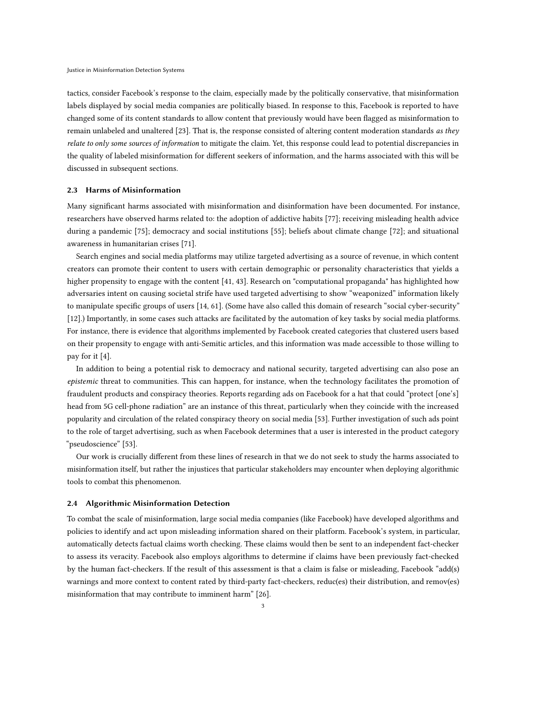tactics, consider Facebook's response to the claim, especially made by the politically conservative, that misinformation labels displayed by social media companies are politically biased. In response to this, Facebook is reported to have changed some of its content standards to allow content that previously would have been flagged as misinformation to remain unlabeled and unaltered [\[23\]](#page-15-10). That is, the response consisted of altering content moderation standards as they relate to only some sources of information to mitigate the claim. Yet, this response could lead to potential discrepancies in the quality of labeled misinformation for different seekers of information, and the harms associated with this will be discussed in subsequent sections.

# 2.3 Harms of Misinformation

Many significant harms associated with misinformation and disinformation have been documented. For instance, researchers have observed harms related to: the adoption of addictive habits [\[77\]](#page-17-4); receiving misleading health advice during a pandemic [\[75\]](#page-17-5); democracy and social institutions [\[55\]](#page-16-8); beliefs about climate change [\[72\]](#page-17-6); and situational awareness in humanitarian crises [\[71\]](#page-17-7).

Search engines and social media platforms may utilize targeted advertising as a source of revenue, in which content creators can promote their content to users with certain demographic or personality characteristics that yields a higher propensity to engage with the content [\[41,](#page-16-9) [43\]](#page-16-10). Research on "computational propaganda" has highlighted how adversaries intent on causing societal strife have used targeted advertising to show "weaponized" information likely to manipulate specific groups of users [\[14,](#page-15-11) [61\]](#page-16-11). (Some have also called this domain of research "social cyber-security" [\[12\]](#page-15-12).) Importantly, in some cases such attacks are facilitated by the automation of key tasks by social media platforms. For instance, there is evidence that algorithms implemented by Facebook created categories that clustered users based on their propensity to engage with anti-Semitic articles, and this information was made accessible to those willing to pay for it [\[4\]](#page-14-1).

In addition to being a potential risk to democracy and national security, targeted advertising can also pose an epistemic threat to communities. This can happen, for instance, when the technology facilitates the promotion of fraudulent products and conspiracy theories. Reports regarding ads on Facebook for a hat that could "protect [one's] head from 5G cell-phone radiation" are an instance of this threat, particularly when they coincide with the increased popularity and circulation of the related conspiracy theory on social media [\[53\]](#page-16-12). Further investigation of such ads point to the role of target advertising, such as when Facebook determines that a user is interested in the product category "pseudoscience" [\[53\]](#page-16-12).

Our work is crucially different from these lines of research in that we do not seek to study the harms associated to misinformation itself, but rather the injustices that particular stakeholders may encounter when deploying algorithmic tools to combat this phenomenon.

#### 2.4 Algorithmic Misinformation Detection

To combat the scale of misinformation, large social media companies (like Facebook) have developed algorithms and policies to identify and act upon misleading information shared on their platform. Facebook's system, in particular, automatically detects factual claims worth checking. These claims would then be sent to an independent fact-checker to assess its veracity. Facebook also employs algorithms to determine if claims have been previously fact-checked by the human fact-checkers. If the result of this assessment is that a claim is false or misleading, Facebook "add(s) warnings and more context to content rated by third-party fact-checkers, reduc(es) their distribution, and remov(es) misinformation that may contribute to imminent harm" [\[26\]](#page-15-13).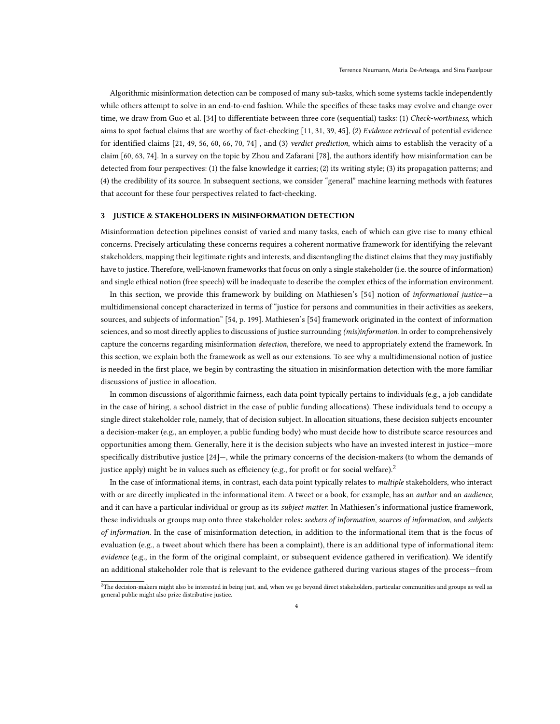Algorithmic misinformation detection can be composed of many sub-tasks, which some systems tackle independently while others attempt to solve in an end-to-end fashion. While the specifics of these tasks may evolve and change over time, we draw from Guo et al. [\[34\]](#page-15-14) to differentiate between three core (sequential) tasks: (1) Check-worthiness, which aims to spot factual claims that are worthy of fact-checking [\[11,](#page-15-15) [31,](#page-15-16) [39,](#page-16-13) [45\]](#page-16-14), (2) Evidence retrieval of potential evidence for identified claims [\[21,](#page-15-17) [49,](#page-16-15) [56,](#page-16-16) [60,](#page-16-17) [66,](#page-17-8) [70,](#page-17-9) [74\]](#page-17-10) , and (3) verdict prediction, which aims to establish the veracity of a claim [\[60,](#page-16-17) [63,](#page-16-18) [74\]](#page-17-10). In a survey on the topic by Zhou and Zafarani [\[78\]](#page-17-11), the authors identify how misinformation can be detected from four perspectives: (1) the false knowledge it carries; (2) its writing style; (3) its propagation patterns; and (4) the credibility of its source. In subsequent sections, we consider "general" machine learning methods with features that account for these four perspectives related to fact-checking.

## <span id="page-3-0"></span>3 JUSTICE & STAKEHOLDERS IN MISINFORMATION DETECTION

Misinformation detection pipelines consist of varied and many tasks, each of which can give rise to many ethical concerns. Precisely articulating these concerns requires a coherent normative framework for identifying the relevant stakeholders, mapping their legitimate rights and interests, and disentangling the distinct claims that they may justifiably have to justice. Therefore, well-known frameworks that focus on only a single stakeholder (i.e. the source of information) and single ethical notion (free speech) will be inadequate to describe the complex ethics of the information environment.

In this section, we provide this framework by building on Mathiesen's [\[54\]](#page-16-1) notion of informational justice—a multidimensional concept characterized in terms of "justice for persons and communities in their activities as seekers, sources, and subjects of information" [\[54,](#page-16-1) p. 199]. Mathiesen's [\[54\]](#page-16-1) framework originated in the context of information sciences, and so most directly applies to discussions of justice surrounding (mis)information. In order to comprehensively capture the concerns regarding misinformation detection, therefore, we need to appropriately extend the framework. In this section, we explain both the framework as well as our extensions. To see why a multidimensional notion of justice is needed in the first place, we begin by contrasting the situation in misinformation detection with the more familiar discussions of justice in allocation.

In common discussions of algorithmic fairness, each data point typically pertains to individuals (e.g., a job candidate in the case of hiring, a school district in the case of public funding allocations). These individuals tend to occupy a single direct stakeholder role, namely, that of decision subject. In allocation situations, these decision subjects encounter a decision-maker (e.g., an employer, a public funding body) who must decide how to distribute scarce resources and opportunities among them. Generally, here it is the decision subjects who have an invested interest in justice—more specifically distributive justice [\[24\]](#page-15-18)—, while the primary concerns of the decision-makers (to whom the demands of justice apply) might be in values such as efficiency (e.g., for profit or for social welfare).<sup>[2](#page-3-1)</sup>

In the case of informational items, in contrast, each data point typically relates to multiple stakeholders, who interact with or are directly implicated in the informational item. A tweet or a book, for example, has an *author* and an *audience*, and it can have a particular individual or group as its subject matter. In Mathiesen's informational justice framework, these individuals or groups map onto three stakeholder roles: seekers of information, sources of information, and subjects of information. In the case of misinformation detection, in addition to the informational item that is the focus of evaluation (e.g., a tweet about which there has been a complaint), there is an additional type of informational item: evidence (e.g., in the form of the original complaint, or subsequent evidence gathered in verification). We identify an additional stakeholder role that is relevant to the evidence gathered during various stages of the process—from

<span id="page-3-1"></span> $^2$ The decision-makers might also be interested in being just, and, when we go beyond direct stakeholders, particular communities and groups as well as general public might also prize distributive justice.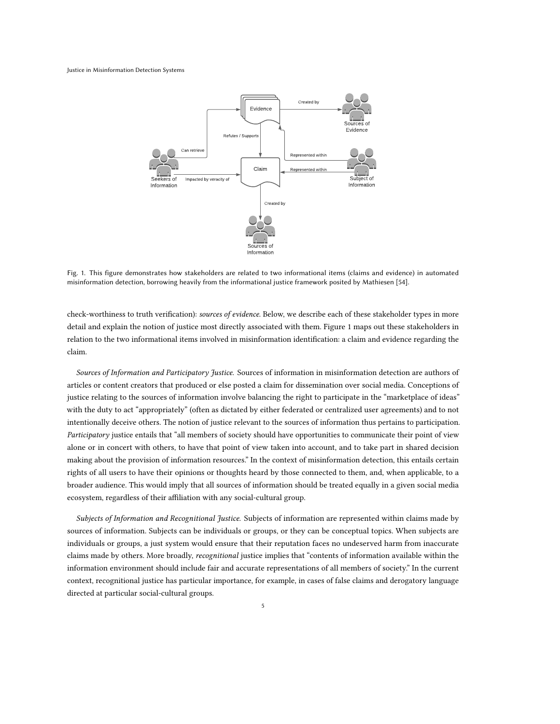#### <span id="page-4-0"></span>Justice in Misinformation Detection Systems



Fig. 1. This figure demonstrates how stakeholders are related to two informational items (claims and evidence) in automated misinformation detection, borrowing heavily from the informational justice framework posited by Mathiesen [\[54\]](#page-16-1).

check-worthiness to truth verification): sources of evidence. Below, we describe each of these stakeholder types in more detail and explain the notion of justice most directly associated with them. Figure [1](#page-4-0) maps out these stakeholders in relation to the two informational items involved in misinformation identification: a claim and evidence regarding the claim.

Sources of Information and Participatory Justice. Sources of information in misinformation detection are authors of articles or content creators that produced or else posted a claim for dissemination over social media. Conceptions of justice relating to the sources of information involve balancing the right to participate in the "marketplace of ideas" with the duty to act "appropriately" (often as dictated by either federated or centralized user agreements) and to not intentionally deceive others. The notion of justice relevant to the sources of information thus pertains to participation. Participatory justice entails that "all members of society should have opportunities to communicate their point of view alone or in concert with others, to have that point of view taken into account, and to take part in shared decision making about the provision of information resources." In the context of misinformation detection, this entails certain rights of all users to have their opinions or thoughts heard by those connected to them, and, when applicable, to a broader audience. This would imply that all sources of information should be treated equally in a given social media ecosystem, regardless of their affiliation with any social-cultural group.

Subjects of Information and Recognitional Justice. Subjects of information are represented within claims made by sources of information. Subjects can be individuals or groups, or they can be conceptual topics. When subjects are individuals or groups, a just system would ensure that their reputation faces no undeserved harm from inaccurate claims made by others. More broadly, recognitional justice implies that "contents of information available within the information environment should include fair and accurate representations of all members of society." In the current context, recognitional justice has particular importance, for example, in cases of false claims and derogatory language directed at particular social-cultural groups.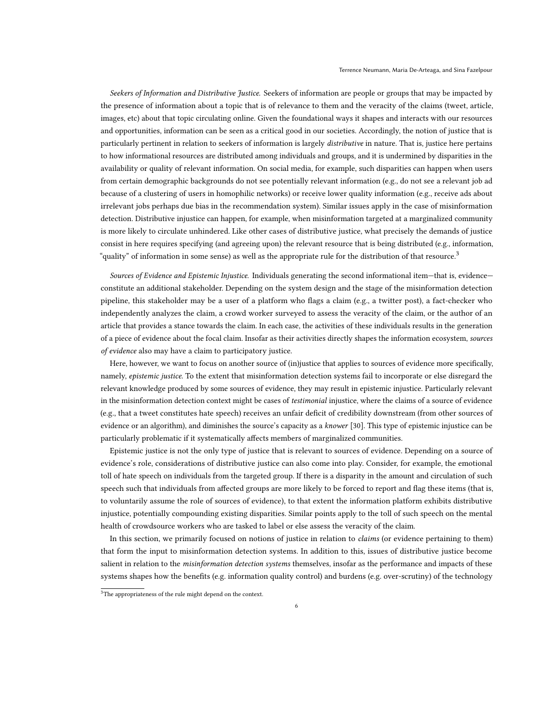Seekers of Information and Distributive Justice. Seekers of information are people or groups that may be impacted by the presence of information about a topic that is of relevance to them and the veracity of the claims (tweet, article, images, etc) about that topic circulating online. Given the foundational ways it shapes and interacts with our resources and opportunities, information can be seen as a critical good in our societies. Accordingly, the notion of justice that is particularly pertinent in relation to seekers of information is largely distributive in nature. That is, justice here pertains to how informational resources are distributed among individuals and groups, and it is undermined by disparities in the availability or quality of relevant information. On social media, for example, such disparities can happen when users from certain demographic backgrounds do not see potentially relevant information (e.g., do not see a relevant job ad because of a clustering of users in homophilic networks) or receive lower quality information (e.g., receive ads about irrelevant jobs perhaps due bias in the recommendation system). Similar issues apply in the case of misinformation detection. Distributive injustice can happen, for example, when misinformation targeted at a marginalized community is more likely to circulate unhindered. Like other cases of distributive justice, what precisely the demands of justice consist in here requires specifying (and agreeing upon) the relevant resource that is being distributed (e.g., information, "quality" of information in some sense) as well as the appropriate rule for the distribution of that resource. $^3$  $^3$ 

Sources of Evidence and Epistemic Injustice. Individuals generating the second informational item—that is, evidence constitute an additional stakeholder. Depending on the system design and the stage of the misinformation detection pipeline, this stakeholder may be a user of a platform who flags a claim (e.g., a twitter post), a fact-checker who independently analyzes the claim, a crowd worker surveyed to assess the veracity of the claim, or the author of an article that provides a stance towards the claim. In each case, the activities of these individuals results in the generation of a piece of evidence about the focal claim. Insofar as their activities directly shapes the information ecosystem, sources of evidence also may have a claim to participatory justice.

Here, however, we want to focus on another source of (in)justice that applies to sources of evidence more specifically, namely, epistemic justice. To the extent that misinformation detection systems fail to incorporate or else disregard the relevant knowledge produced by some sources of evidence, they may result in epistemic injustice. Particularly relevant in the misinformation detection context might be cases of testimonial injustice, where the claims of a source of evidence (e.g., that a tweet constitutes hate speech) receives an unfair deficit of credibility downstream (from other sources of evidence or an algorithm), and diminishes the source's capacity as a knower [\[30\]](#page-15-19). This type of epistemic injustice can be particularly problematic if it systematically affects members of marginalized communities.

Epistemic justice is not the only type of justice that is relevant to sources of evidence. Depending on a source of evidence's role, considerations of distributive justice can also come into play. Consider, for example, the emotional toll of hate speech on individuals from the targeted group. If there is a disparity in the amount and circulation of such speech such that individuals from affected groups are more likely to be forced to report and flag these items (that is, to voluntarily assume the role of sources of evidence), to that extent the information platform exhibits distributive injustice, potentially compounding existing disparities. Similar points apply to the toll of such speech on the mental health of crowdsource workers who are tasked to label or else assess the veracity of the claim.

In this section, we primarily focused on notions of justice in relation to *claims* (or evidence pertaining to them) that form the input to misinformation detection systems. In addition to this, issues of distributive justice become salient in relation to the *misinformation detection systems* themselves, insofar as the performance and impacts of these systems shapes how the benefits (e.g. information quality control) and burdens (e.g. over-scrutiny) of the technology

<span id="page-5-0"></span> $3$ The appropriateness of the rule might depend on the context.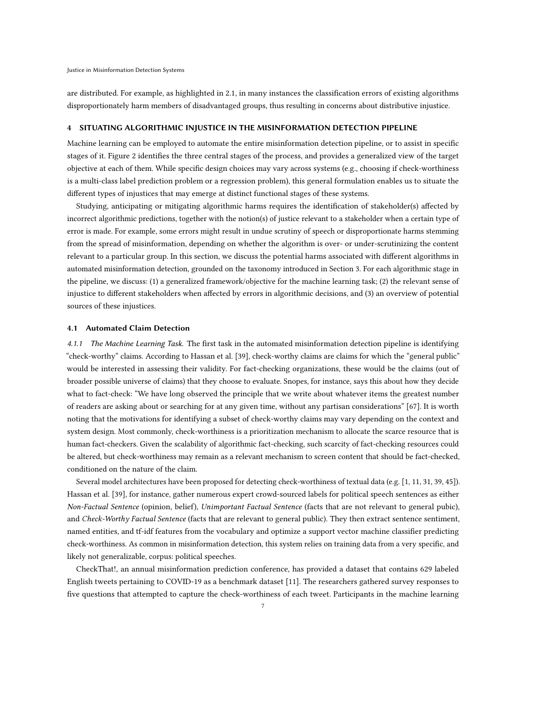are distributed. For example, as highlighted in [2.1,](#page-1-2) in many instances the classification errors of existing algorithms disproportionately harm members of disadvantaged groups, thus resulting in concerns about distributive injustice.

### <span id="page-6-0"></span>4 SITUATING ALGORITHMIC INJUSTICE IN THE MISINFORMATION DETECTION PIPELINE

Machine learning can be employed to automate the entire misinformation detection pipeline, or to assist in specific stages of it. Figure [2](#page-7-0) identifies the three central stages of the process, and provides a generalized view of the target objective at each of them. While specific design choices may vary across systems (e.g., choosing if check-worthiness is a multi-class label prediction problem or a regression problem), this general formulation enables us to situate the different types of injustices that may emerge at distinct functional stages of these systems.

Studying, anticipating or mitigating algorithmic harms requires the identification of stakeholder(s) affected by incorrect algorithmic predictions, together with the notion(s) of justice relevant to a stakeholder when a certain type of error is made. For example, some errors might result in undue scrutiny of speech or disproportionate harms stemming from the spread of misinformation, depending on whether the algorithm is over- or under-scrutinizing the content relevant to a particular group. In this section, we discuss the potential harms associated with different algorithms in automated misinformation detection, grounded on the taxonomy introduced in Section [3.](#page-3-0) For each algorithmic stage in the pipeline, we discuss: (1) a generalized framework/objective for the machine learning task; (2) the relevant sense of injustice to different stakeholders when affected by errors in algorithmic decisions, and (3) an overview of potential sources of these injustices.

## 4.1 Automated Claim Detection

4.1.1 The Machine Learning Task. The first task in the automated misinformation detection pipeline is identifying "check-worthy" claims. According to Hassan et al. [\[39\]](#page-16-13), check-worthy claims are claims for which the "general public" would be interested in assessing their validity. For fact-checking organizations, these would be the claims (out of broader possible universe of claims) that they choose to evaluate. Snopes, for instance, says this about how they decide what to fact-check: "We have long observed the principle that we write about whatever items the greatest number of readers are asking about or searching for at any given time, without any partisan considerations" [\[67\]](#page-17-12). It is worth noting that the motivations for identifying a subset of check-worthy claims may vary depending on the context and system design. Most commonly, check-worthiness is a prioritization mechanism to allocate the scarce resource that is human fact-checkers. Given the scalability of algorithmic fact-checking, such scarcity of fact-checking resources could be altered, but check-worthiness may remain as a relevant mechanism to screen content that should be fact-checked, conditioned on the nature of the claim.

Several model architectures have been proposed for detecting check-worthiness of textual data (e.g. [\[1,](#page-14-2) [11,](#page-15-15) [31,](#page-15-16) [39,](#page-16-13) [45\]](#page-16-14)). Hassan et al. [\[39\]](#page-16-13), for instance, gather numerous expert crowd-sourced labels for political speech sentences as either Non-Factual Sentence (opinion, belief), Unimportant Factual Sentence (facts that are not relevant to general pubic), and Check-Worthy Factual Sentence (facts that are relevant to general public). They then extract sentence sentiment, named entities, and tf-idf features from the vocabulary and optimize a support vector machine classifier predicting check-worthiness. As common in misinformation detection, this system relies on training data from a very specific, and likely not generalizable, corpus: political speeches.

CheckThat!, an annual misinformation prediction conference, has provided a dataset that contains 629 labeled English tweets pertaining to COVID-19 as a benchmark dataset [\[11\]](#page-15-15). The researchers gathered survey responses to five questions that attempted to capture the check-worthiness of each tweet. Participants in the machine learning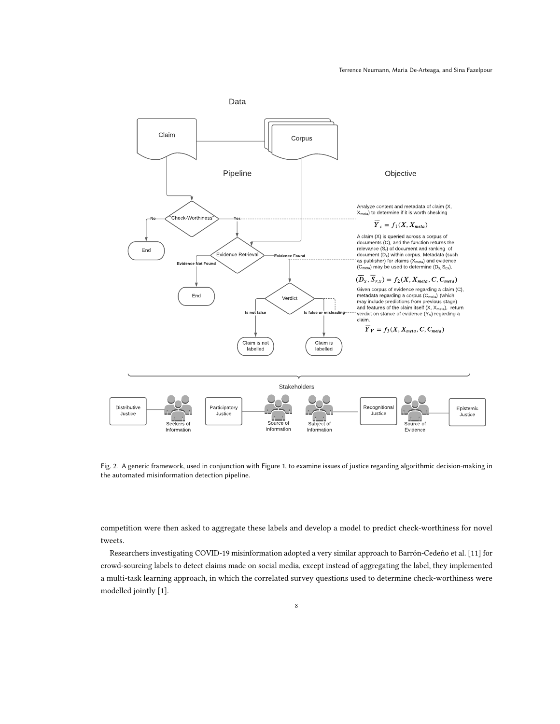<span id="page-7-0"></span>

Fig. 2. A generic framework, used in conjunction with Figure [1,](#page-4-0) to examine issues of justice regarding algorithmic decision-making in the automated misinformation detection pipeline.

competition were then asked to aggregate these labels and develop a model to predict check-worthiness for novel tweets.

Researchers investigating COVID-19 misinformation adopted a very similar approach to Barrón-Cedeño et al. [\[11\]](#page-15-15) for crowd-sourcing labels to detect claims made on social media, except instead of aggregating the label, they implemented a multi-task learning approach, in which the correlated survey questions used to determine check-worthiness were modelled jointly [\[1\]](#page-14-2).

8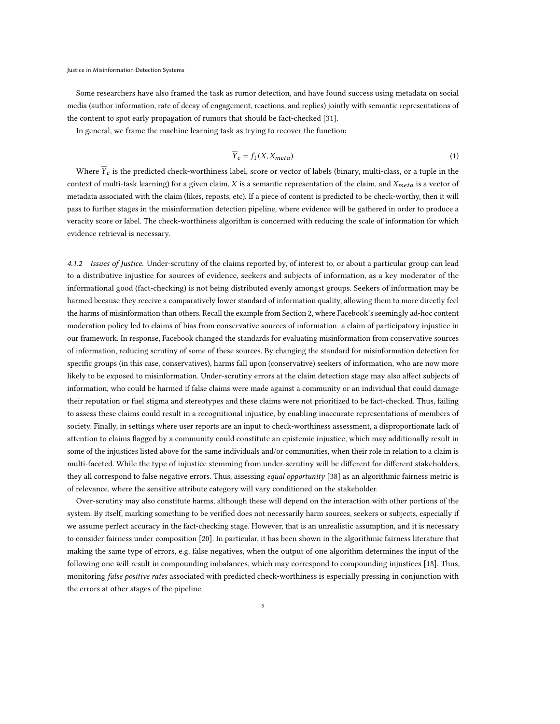Some researchers have also framed the task as rumor detection, and have found success using metadata on social media (author information, rate of decay of engagement, reactions, and replies) jointly with semantic representations of the content to spot early propagation of rumors that should be fact-checked [\[31\]](#page-15-16).

In general, we frame the machine learning task as trying to recover the function:

$$
\overline{Y}_c = f_1(X, X_{meta})
$$
\n<sup>(1)</sup>

Where  $\overline{Y}_c$  is the predicted check-worthiness label, score or vector of labels (binary, multi-class, or a tuple in the context of multi-task learning) for a given claim, X is a semantic representation of the claim, and  $X_{meta}$  is a vector of metadata associated with the claim (likes, reposts, etc). If a piece of content is predicted to be check-worthy, then it will pass to further stages in the misinformation detection pipeline, where evidence will be gathered in order to produce a veracity score or label. The check-worthiness algorithm is concerned with reducing the scale of information for which evidence retrieval is necessary.

4.1.2 Issues of Justice. Under-scrutiny of the claims reported by, of interest to, or about a particular group can lead to a distributive injustice for sources of evidence, seekers and subjects of information, as a key moderator of the informational good (fact-checking) is not being distributed evenly amongst groups. Seekers of information may be harmed because they receive a comparatively lower standard of information quality, allowing them to more directly feel the harms of misinformation than others. Recall the example from Section [2,](#page-1-0) where Facebook's seemingly ad-hoc content moderation policy led to claims of bias from conservative sources of information–a claim of participatory injustice in our framework. In response, Facebook changed the standards for evaluating misinformation from conservative sources of information, reducing scrutiny of some of these sources. By changing the standard for misinformation detection for specific groups (in this case, conservatives), harms fall upon (conservative) seekers of information, who are now more likely to be exposed to misinformation. Under-scrutiny errors at the claim detection stage may also affect subjects of information, who could be harmed if false claims were made against a community or an individual that could damage their reputation or fuel stigma and stereotypes and these claims were not prioritized to be fact-checked. Thus, failing to assess these claims could result in a recognitional injustice, by enabling inaccurate representations of members of society. Finally, in settings where user reports are an input to check-worthiness assessment, a disproportionate lack of attention to claims flagged by a community could constitute an epistemic injustice, which may additionally result in some of the injustices listed above for the same individuals and/or communities, when their role in relation to a claim is multi-faceted. While the type of injustice stemming from under-scrutiny will be different for different stakeholders, they all correspond to false negative errors. Thus, assessing *equal opportunity* [\[38\]](#page-16-19) as an algorithmic fairness metric is of relevance, where the sensitive attribute category will vary conditioned on the stakeholder.

Over-scrutiny may also constitute harms, although these will depend on the interaction with other portions of the system. By itself, marking something to be verified does not necessarily harm sources, seekers or subjects, especially if we assume perfect accuracy in the fact-checking stage. However, that is an unrealistic assumption, and it is necessary to consider fairness under composition [\[20\]](#page-15-20). In particular, it has been shown in the algorithmic fairness literature that making the same type of errors, e.g. false negatives, when the output of one algorithm determines the input of the following one will result in compounding imbalances, which may correspond to compounding injustices [\[18\]](#page-15-4). Thus, monitoring false positive rates associated with predicted check-worthiness is especially pressing in conjunction with the errors at other stages of the pipeline.

9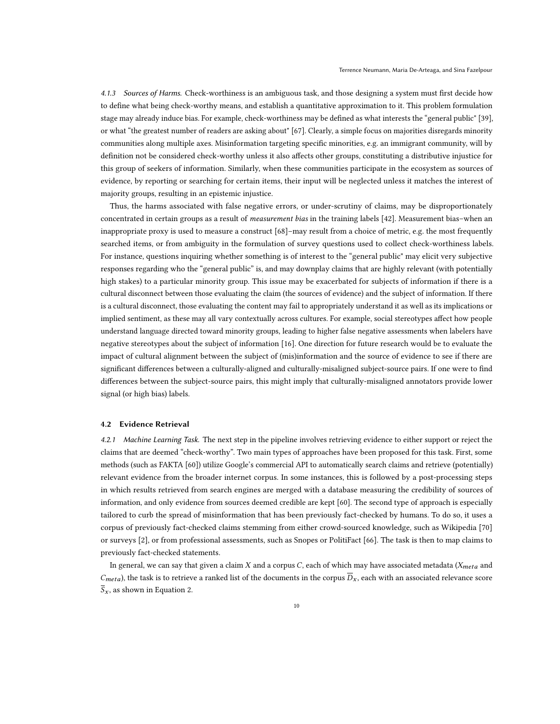4.1.3 Sources of Harms. Check-worthiness is an ambiguous task, and those designing a system must first decide how to define what being check-worthy means, and establish a quantitative approximation to it. This problem formulation stage may already induce bias. For example, check-worthiness may be defined as what interests the "general public" [\[39\]](#page-16-13), or what "the greatest number of readers are asking about" [\[67\]](#page-17-12). Clearly, a simple focus on majorities disregards minority communities along multiple axes. Misinformation targeting specific minorities, e.g. an immigrant community, will by definition not be considered check-worthy unless it also affects other groups, constituting a distributive injustice for this group of seekers of information. Similarly, when these communities participate in the ecosystem as sources of evidence, by reporting or searching for certain items, their input will be neglected unless it matches the interest of majority groups, resulting in an epistemic injustice.

Thus, the harms associated with false negative errors, or under-scrutiny of claims, may be disproportionately concentrated in certain groups as a result of *measurement bias* in the training labels [\[42\]](#page-16-20). Measurement bias–when an inappropriate proxy is used to measure a construct [\[68\]](#page-17-13)–may result from a choice of metric, e.g. the most frequently searched items, or from ambiguity in the formulation of survey questions used to collect check-worthiness labels. For instance, questions inquiring whether something is of interest to the "general public" may elicit very subjective responses regarding who the "general public" is, and may downplay claims that are highly relevant (with potentially high stakes) to a particular minority group. This issue may be exacerbated for subjects of information if there is a cultural disconnect between those evaluating the claim (the sources of evidence) and the subject of information. If there is a cultural disconnect, those evaluating the content may fail to appropriately understand it as well as its implications or implied sentiment, as these may all vary contextually across cultures. For example, social stereotypes affect how people understand language directed toward minority groups, leading to higher false negative assessments when labelers have negative stereotypes about the subject of information [\[16\]](#page-15-21). One direction for future research would be to evaluate the impact of cultural alignment between the subject of (mis)information and the source of evidence to see if there are significant differences between a culturally-aligned and culturally-misaligned subject-source pairs. If one were to find differences between the subject-source pairs, this might imply that culturally-misaligned annotators provide lower signal (or high bias) labels.

## 4.2 Evidence Retrieval

4.2.1 Machine Learning Task. The next step in the pipeline involves retrieving evidence to either support or reject the claims that are deemed "check-worthy". Two main types of approaches have been proposed for this task. First, some methods (such as FAKTA [\[60\]](#page-16-17)) utilize Google's commercial API to automatically search claims and retrieve (potentially) relevant evidence from the broader internet corpus. In some instances, this is followed by a post-processing steps in which results retrieved from search engines are merged with a database measuring the credibility of sources of information, and only evidence from sources deemed credible are kept [\[60\]](#page-16-17). The second type of approach is especially tailored to curb the spread of misinformation that has been previously fact-checked by humans. To do so, it uses a corpus of previously fact-checked claims stemming from either crowd-sourced knowledge, such as Wikipedia [\[70\]](#page-17-9) or surveys [\[2\]](#page-14-3), or from professional assessments, such as Snopes or PolitiFact [\[66\]](#page-17-8). The task is then to map claims to previously fact-checked statements.

In general, we can say that given a claim  $X$  and a corpus  $C$ , each of which may have associated metadata ( $X_{meta}$  and  $C_{metal}$ ), the task is to retrieve a ranked list of the documents in the corpus  $\overline{D}_x$ , each with an associated relevance score  $S_x$ , as shown in Equation [2.](#page-10-0)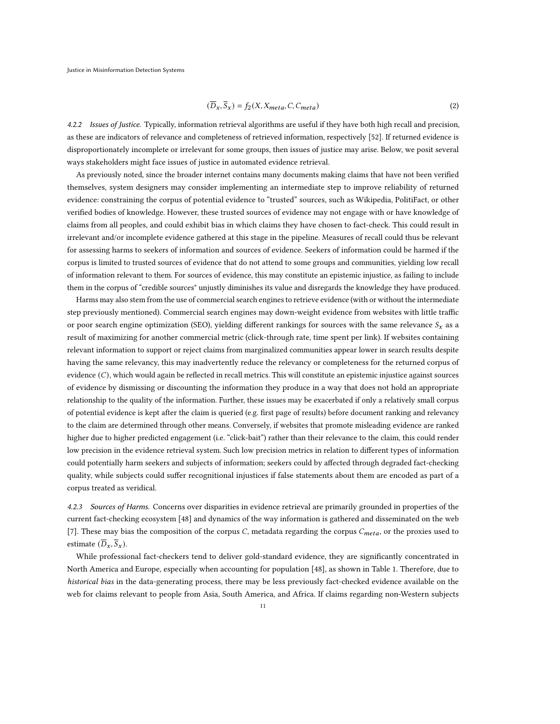<span id="page-10-0"></span>
$$
(\overline{D}_x, \overline{S}_x) = f_2(X, X_{meta}, C, C_{meta})
$$
\n(2)

4.2.2 Issues of Justice. Typically, information retrieval algorithms are useful if they have both high recall and precision, as these are indicators of relevance and completeness of retrieved information, respectively [\[52\]](#page-16-21). If returned evidence is disproportionately incomplete or irrelevant for some groups, then issues of justice may arise. Below, we posit several ways stakeholders might face issues of justice in automated evidence retrieval.

As previously noted, since the broader internet contains many documents making claims that have not been verified themselves, system designers may consider implementing an intermediate step to improve reliability of returned evidence: constraining the corpus of potential evidence to "trusted" sources, such as Wikipedia, PolitiFact, or other verified bodies of knowledge. However, these trusted sources of evidence may not engage with or have knowledge of claims from all peoples, and could exhibit bias in which claims they have chosen to fact-check. This could result in irrelevant and/or incomplete evidence gathered at this stage in the pipeline. Measures of recall could thus be relevant for assessing harms to seekers of information and sources of evidence. Seekers of information could be harmed if the corpus is limited to trusted sources of evidence that do not attend to some groups and communities, yielding low recall of information relevant to them. For sources of evidence, this may constitute an epistemic injustice, as failing to include them in the corpus of "credible sources" unjustly diminishes its value and disregards the knowledge they have produced.

Harms may also stem from the use of commercial search engines to retrieve evidence (with or without the intermediate step previously mentioned). Commercial search engines may down-weight evidence from websites with little traffic or poor search engine optimization (SEO), yielding different rankings for sources with the same relevance  $S_x$  as a result of maximizing for another commercial metric (click-through rate, time spent per link). If websites containing relevant information to support or reject claims from marginalized communities appear lower in search results despite having the same relevancy, this may inadvertently reduce the relevancy or completeness for the returned corpus of evidence  $(C)$ , which would again be reflected in recall metrics. This will constitute an epistemic injustice against sources of evidence by dismissing or discounting the information they produce in a way that does not hold an appropriate relationship to the quality of the information. Further, these issues may be exacerbated if only a relatively small corpus of potential evidence is kept after the claim is queried (e.g. first page of results) before document ranking and relevancy to the claim are determined through other means. Conversely, if websites that promote misleading evidence are ranked higher due to higher predicted engagement (i.e. "click-bait") rather than their relevance to the claim, this could render low precision in the evidence retrieval system. Such low precision metrics in relation to different types of information could potentially harm seekers and subjects of information; seekers could by affected through degraded fact-checking quality, while subjects could suffer recognitional injustices if false statements about them are encoded as part of a corpus treated as veridical.

4.2.3 Sources of Harms. Concerns over disparities in evidence retrieval are primarily grounded in properties of the current fact-checking ecosystem [\[48\]](#page-16-22) and dynamics of the way information is gathered and disseminated on the web [\[7\]](#page-15-22). These may bias the composition of the corpus C, metadata regarding the corpus  $C_{meta}$ , or the proxies used to estimate  $(\overline{D}_x, \overline{S}_x)$ .

While professional fact-checkers tend to deliver gold-standard evidence, they are significantly concentrated in North America and Europe, especially when accounting for population [\[48\]](#page-16-22), as shown in Table [1.](#page-11-0) Therefore, due to historical bias in the data-generating process, there may be less previously fact-checked evidence available on the web for claims relevant to people from Asia, South America, and Africa. If claims regarding non-Western subjects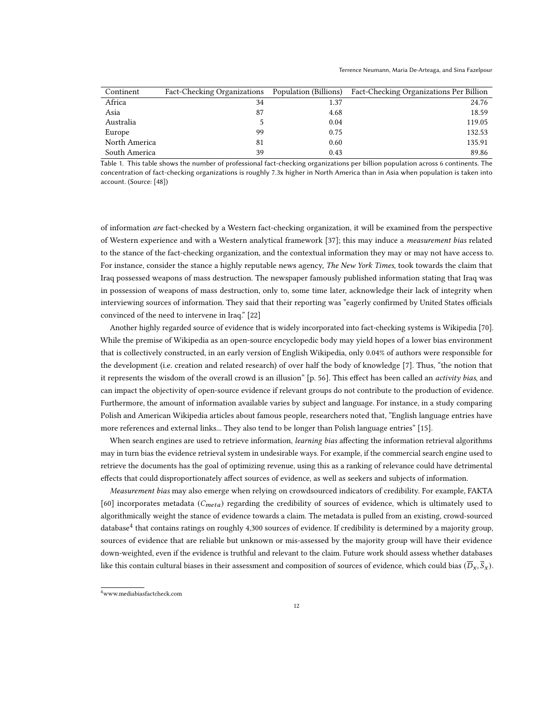<span id="page-11-0"></span>

| Continent     | Fact-Checking Organizations Population (Billions) |      | Fact-Checking Organizations Per Billion |
|---------------|---------------------------------------------------|------|-----------------------------------------|
| Africa        | 34                                                | 1.37 | 24.76                                   |
| Asia          | 87                                                | 4.68 | 18.59                                   |
| Australia     |                                                   | 0.04 | 119.05                                  |
| Europe        | 99                                                | 0.75 | 132.53                                  |
| North America | 81                                                | 0.60 | 135.91                                  |
| South America | 39                                                | 0.43 | 89.86                                   |

Table 1. This table shows the number of professional fact-checking organizations per billion population across 6 continents. The concentration of fact-checking organizations is roughly 7.3x higher in North America than in Asia when population is taken into account. (Source: [\[48\]](#page-16-22))

of information are fact-checked by a Western fact-checking organization, it will be examined from the perspective of Western experience and with a Western analytical framework [\[37\]](#page-16-23); this may induce a measurement bias related to the stance of the fact-checking organization, and the contextual information they may or may not have access to. For instance, consider the stance a highly reputable news agency, The New York Times, took towards the claim that Iraq possessed weapons of mass destruction. The newspaper famously published information stating that Iraq was in possession of weapons of mass destruction, only to, some time later, acknowledge their lack of integrity when interviewing sources of information. They said that their reporting was "eagerly confirmed by United States officials convinced of the need to intervene in Iraq." [\[22\]](#page-15-23)

Another highly regarded source of evidence that is widely incorporated into fact-checking systems is Wikipedia [\[70\]](#page-17-9). While the premise of Wikipedia as an open-source encyclopedic body may yield hopes of a lower bias environment that is collectively constructed, in an early version of English Wikipedia, only 0.04% of authors were responsible for the development (i.e. creation and related research) of over half the body of knowledge [\[7\]](#page-15-22). Thus, "the notion that it represents the wisdom of the overall crowd is an illusion" [p. 56]. This effect has been called an activity bias, and can impact the objectivity of open-source evidence if relevant groups do not contribute to the production of evidence. Furthermore, the amount of information available varies by subject and language. For instance, in a study comparing Polish and American Wikipedia articles about famous people, researchers noted that, "English language entries have more references and external links... They also tend to be longer than Polish language entries" [\[15\]](#page-15-24).

When search engines are used to retrieve information, *learning bias* affecting the information retrieval algorithms may in turn bias the evidence retrieval system in undesirable ways. For example, if the commercial search engine used to retrieve the documents has the goal of optimizing revenue, using this as a ranking of relevance could have detrimental effects that could disproportionately affect sources of evidence, as well as seekers and subjects of information.

Measurement bias may also emerge when relying on crowdsourced indicators of credibility. For example, FAKTA [\[60\]](#page-16-17) incorporates metadata ( $C_{meta}$ ) regarding the credibility of sources of evidence, which is ultimately used to algorithmically weight the stance of evidence towards a claim. The metadata is pulled from an existing, crowd-sourced database $^4$  $^4$  that contains ratings on roughly 4,300 sources of evidence. If credibility is determined by a majority group, sources of evidence that are reliable but unknown or mis-assessed by the majority group will have their evidence down-weighted, even if the evidence is truthful and relevant to the claim. Future work should assess whether databases like this contain cultural biases in their assessment and composition of sources of evidence, which could bias  $(\overline{D_x}, \overline{S_x})$ .

<span id="page-11-1"></span><sup>4</sup>www.mediabiasfactcheck.com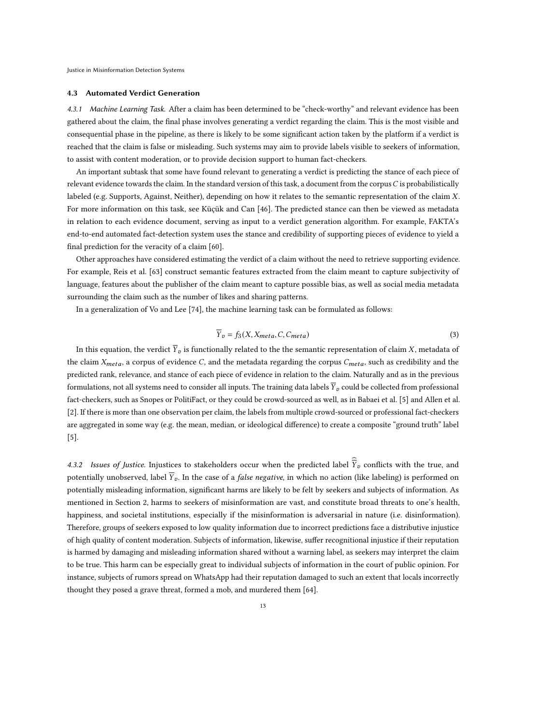Justice in Misinformation Detection Systems

#### 4.3 Automated Verdict Generation

4.3.1 Machine Learning Task. After a claim has been determined to be "check-worthy" and relevant evidence has been gathered about the claim, the final phase involves generating a verdict regarding the claim. This is the most visible and consequential phase in the pipeline, as there is likely to be some significant action taken by the platform if a verdict is reached that the claim is false or misleading. Such systems may aim to provide labels visible to seekers of information, to assist with content moderation, or to provide decision support to human fact-checkers.

An important subtask that some have found relevant to generating a verdict is predicting the stance of each piece of relevant evidence towards the claim. In the standard version of this task, a document from the corpus  $C$  is probabilistically labeled (e.g. Supports, Against, Neither), depending on how it relates to the semantic representation of the claim  $X$ . For more information on this task, see Küçük and Can [\[46\]](#page-16-24). The predicted stance can then be viewed as metadata in relation to each evidence document, serving as input to a verdict generation algorithm. For example, FAKTA's end-to-end automated fact-detection system uses the stance and credibility of supporting pieces of evidence to yield a final prediction for the veracity of a claim [\[60\]](#page-16-17).

Other approaches have considered estimating the verdict of a claim without the need to retrieve supporting evidence. For example, Reis et al. [\[63\]](#page-16-18) construct semantic features extracted from the claim meant to capture subjectivity of language, features about the publisher of the claim meant to capture possible bias, as well as social media metadata surrounding the claim such as the number of likes and sharing patterns.

In a generalization of Vo and Lee [\[74\]](#page-17-10), the machine learning task can be formulated as follows:

$$
\overline{Y}_v = f_3(X, X_{meta}, C, C_{meta})
$$
\n(3)

In this equation, the verdict  $\overline{Y}_n$  is functionally related to the the semantic representation of claim X, metadata of the claim  $X_{meta}$ , a corpus of evidence C, and the metadata regarding the corpus  $C_{meta}$ , such as credibility and the predicted rank, relevance, and stance of each piece of evidence in relation to the claim. Naturally and as in the previous formulations, not all systems need to consider all inputs. The training data labels  $\overline{Y}_v$  could be collected from professional fact-checkers, such as Snopes or PolitiFact, or they could be crowd-sourced as well, as in Babaei et al. [\[5\]](#page-15-25) and Allen et al. [\[2\]](#page-14-3). If there is more than one observation per claim, the labels from multiple crowd-sourced or professional fact-checkers are aggregated in some way (e.g. the mean, median, or ideological difference) to create a composite "ground truth" label [\[5\]](#page-15-25).

4.3.2 Issues of Justice. Injustices to stakeholders occur when the predicted label  $\hat{\vec{Y}}_v$  conflicts with the true, and potentially unobserved, label  $\overline{Y}_v$ . In the case of a *false negative*, in which no action (like labeling) is performed on potentially misleading information, significant harms are likely to be felt by seekers and subjects of information. As mentioned in Section [2,](#page-1-0) harms to seekers of misinformation are vast, and constitute broad threats to one's health, happiness, and societal institutions, especially if the misinformation is adversarial in nature (i.e. disinformation). Therefore, groups of seekers exposed to low quality information due to incorrect predictions face a distributive injustice of high quality of content moderation. Subjects of information, likewise, suffer recognitional injustice if their reputation is harmed by damaging and misleading information shared without a warning label, as seekers may interpret the claim to be true. This harm can be especially great to individual subjects of information in the court of public opinion. For instance, subjects of rumors spread on WhatsApp had their reputation damaged to such an extent that locals incorrectly thought they posed a grave threat, formed a mob, and murdered them [\[64\]](#page-16-25).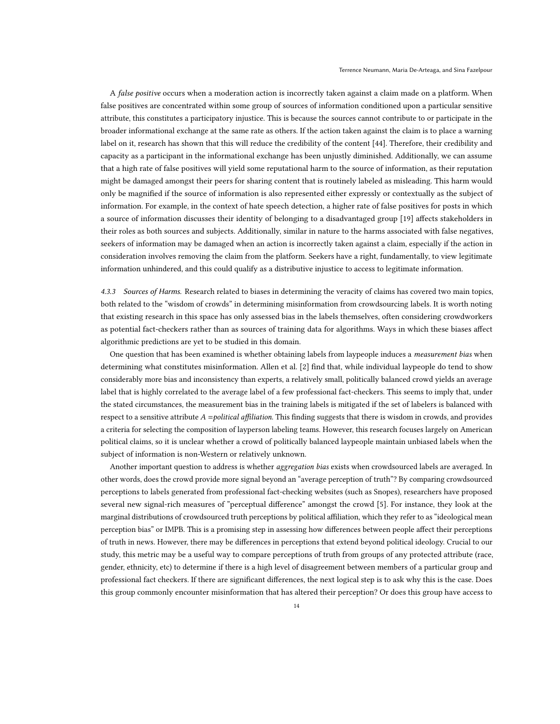A false positive occurs when a moderation action is incorrectly taken against a claim made on a platform. When false positives are concentrated within some group of sources of information conditioned upon a particular sensitive attribute, this constitutes a participatory injustice. This is because the sources cannot contribute to or participate in the broader informational exchange at the same rate as others. If the action taken against the claim is to place a warning label on it, research has shown that this will reduce the credibility of the content [\[44\]](#page-16-26). Therefore, their credibility and capacity as a participant in the informational exchange has been unjustly diminished. Additionally, we can assume that a high rate of false positives will yield some reputational harm to the source of information, as their reputation might be damaged amongst their peers for sharing content that is routinely labeled as misleading. This harm would only be magnified if the source of information is also represented either expressly or contextually as the subject of information. For example, in the context of hate speech detection, a higher rate of false positives for posts in which a source of information discusses their identity of belonging to a disadvantaged group [\[19\]](#page-15-8) affects stakeholders in their roles as both sources and subjects. Additionally, similar in nature to the harms associated with false negatives, seekers of information may be damaged when an action is incorrectly taken against a claim, especially if the action in consideration involves removing the claim from the platform. Seekers have a right, fundamentally, to view legitimate information unhindered, and this could qualify as a distributive injustice to access to legitimate information.

4.3.3 Sources of Harms. Research related to biases in determining the veracity of claims has covered two main topics, both related to the "wisdom of crowds" in determining misinformation from crowdsourcing labels. It is worth noting that existing research in this space has only assessed bias in the labels themselves, often considering crowdworkers as potential fact-checkers rather than as sources of training data for algorithms. Ways in which these biases affect algorithmic predictions are yet to be studied in this domain.

One question that has been examined is whether obtaining labels from laypeople induces a *measurement bias* when determining what constitutes misinformation. Allen et al. [\[2\]](#page-14-3) find that, while individual laypeople do tend to show considerably more bias and inconsistency than experts, a relatively small, politically balanced crowd yields an average label that is highly correlated to the average label of a few professional fact-checkers. This seems to imply that, under the stated circumstances, the measurement bias in the training labels is mitigated if the set of labelers is balanced with respect to a sensitive attribute  $A =$ political affiliation. This finding suggests that there is wisdom in crowds, and provides a criteria for selecting the composition of layperson labeling teams. However, this research focuses largely on American political claims, so it is unclear whether a crowd of politically balanced laypeople maintain unbiased labels when the subject of information is non-Western or relatively unknown.

Another important question to address is whether *aggregation bias* exists when crowdsourced labels are averaged. In other words, does the crowd provide more signal beyond an "average perception of truth"? By comparing crowdsourced perceptions to labels generated from professional fact-checking websites (such as Snopes), researchers have proposed several new signal-rich measures of "perceptual difference" amongst the crowd [\[5\]](#page-15-25). For instance, they look at the marginal distributions of crowdsourced truth perceptions by political affiliation, which they refer to as "ideological mean perception bias" or IMPB. This is a promising step in assessing how differences between people affect their perceptions of truth in news. However, there may be differences in perceptions that extend beyond political ideology. Crucial to our study, this metric may be a useful way to compare perceptions of truth from groups of any protected attribute (race, gender, ethnicity, etc) to determine if there is a high level of disagreement between members of a particular group and professional fact checkers. If there are significant differences, the next logical step is to ask why this is the case. Does this group commonly encounter misinformation that has altered their perception? Or does this group have access to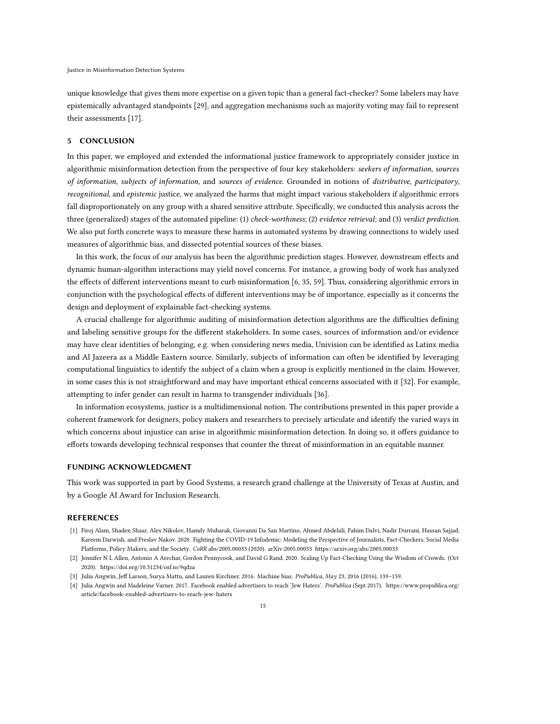unique knowledge that gives them more expertise on a given topic than a general fact-checker? Some labelers may have epistemically advantaged standpoints [\[29\]](#page-15-26), and aggregation mechanisms such as majority voting may fail to represent their assessments [\[17\]](#page-15-27).

# 5 CONCLUSION

In this paper, we employed and extended the informational justice framework to appropriately consider justice in algorithmic misinformation detection from the perspective of four key stakeholders: seekers of information, sources of information, subjects of information, and sources of evidence. Grounded in notions of distributive, participatory, recognitional, and epistemic justice, we analyzed the harms that might impact various stakeholders if algorithmic errors fall disproportionately on any group with a shared sensitive attribute. Specifically, we conducted this analysis across the three (generalized) stages of the automated pipeline: (1) check-worthiness; (2) evidence retrieval; and (3) verdict prediction. We also put forth concrete ways to measure these harms in automated systems by drawing connections to widely used measures of algorithmic bias, and dissected potential sources of these biases.

In this work, the focus of our analysis has been the algorithmic prediction stages. However, downstream effects and dynamic human-algorithm interactions may yield novel concerns. For instance, a growing body of work has analyzed the effects of different interventions meant to curb misinformation [\[6,](#page-15-28) [35,](#page-15-29) [59\]](#page-16-27). Thus, considering algorithmic errors in conjunction with the psychological effects of different interventions may be of importance, especially as it concerns the design and deployment of explainable fact-checking systems.

A crucial challenge for algorithmic auditing of misinformation detection algorithms are the difficulties defining and labeling sensitive groups for the different stakeholders. In some cases, sources of information and/or evidence may have clear identities of belonging, e.g. when considering news media, Univision can be identified as Latinx media and Al Jazeera as a Middle Eastern source. Similarly, subjects of information can often be identified by leveraging computational linguistics to identify the subject of a claim when a group is explicitly mentioned in the claim. However, in some cases this is not straightforward and may have important ethical concerns associated with it [\[32\]](#page-15-30). For example, attempting to infer gender can result in harms to transgender individuals [\[36\]](#page-16-28).

In information ecosystems, justice is a multidimensional notion. The contributions presented in this paper provide a coherent framework for designers, policy makers and researchers to precisely articulate and identify the varied ways in which concerns about injustice can arise in algorithmic misinformation detection. In doing so, it offers guidance to efforts towards developing technical responses that counter the threat of misinformation in an equitable manner.

# FUNDING ACKNOWLEDGMENT

This work was supported in part by Good Systems, a research grand challenge at the University of Texas at Austin, and by a Google AI Award for Inclusion Research.

# **REFERENCES**

- <span id="page-14-2"></span>[1] Firoj Alam, Shaden Shaar, Alex Nikolov, Hamdy Mubarak, Giovanni Da San Martino, Ahmed Abdelali, Fahim Dalvi, Nadir Durrani, Hassan Sajjad, Kareem Darwish, and Preslav Nakov. 2020. Fighting the COVID-19 Infodemic: Modeling the Perspective of Journalists, Fact-Checkers, Social Media Platforms, Policy Makers, and the Society. CoRR abs/2005.00033 (2020). arXiv:2005.00033<https://arxiv.org/abs/2005.00033>
- <span id="page-14-3"></span>[2] Jennifer N L Allen, Antonio A Arechar, Gordon Pennycook, and David G Rand. 2020. Scaling Up Fact-Checking Using the Wisdom of Crowds. (Oct 2020).<https://doi.org/10.31234/osf.io/9qdza>
- <span id="page-14-0"></span>[3] Julia Angwin, Jeff Larson, Surya Mattu, and Lauren Kirchner. 2016. Machine bias. ProPublica, May 23, 2016 (2016), 139–159.
- <span id="page-14-1"></span>[4] Julia Angwin and Madeleine Varner. 2017. Facebook enabled advertisers to reach 'Jew Haters'. ProPublica (Sept 2017). [https://www.propublica.org/](https://www.propublica.org/article/facebook-enabled-advertisers-to-reach-jew-haters) [article/facebook-enabled-advertisers-to-reach-jew-haters](https://www.propublica.org/article/facebook-enabled-advertisers-to-reach-jew-haters)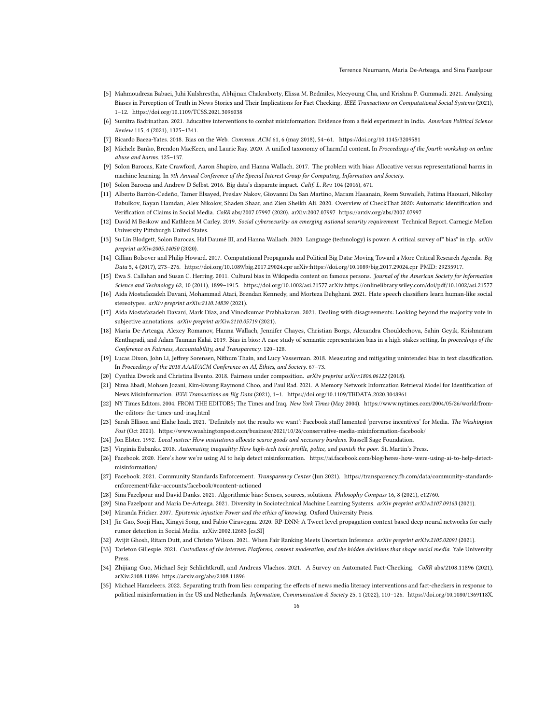- <span id="page-15-25"></span>[5] Mahmoudreza Babaei, Juhi Kulshrestha, Abhijnan Chakraborty, Elissa M. Redmiles, Meeyoung Cha, and Krishna P. Gummadi. 2021. Analyzing Biases in Perception of Truth in News Stories and Their Implications for Fact Checking. IEEE Transactions on Computational Social Systems (2021), 1–12.<https://doi.org/10.1109/TCSS.2021.3096038>
- <span id="page-15-28"></span>[6] Sumitra Badrinathan. 2021. Educative interventions to combat misinformation: Evidence from a field experiment in India. American Political Science Review 115, 4 (2021), 1325–1341.
- <span id="page-15-22"></span>[7] Ricardo Baeza-Yates. 2018. Bias on the Web. Commun. ACM 61, 6 (may 2018), 54–61.<https://doi.org/10.1145/3209581>
- <span id="page-15-7"></span>[8] Michele Banko, Brendon MacKeen, and Laurie Ray. 2020. A unified taxonomy of harmful content. In Proceedings of the fourth workshop on online abuse and harms. 125–137.
- <span id="page-15-5"></span>[9] Solon Barocas, Kate Crawford, Aaron Shapiro, and Hanna Wallach. 2017. The problem with bias: Allocative versus representational harms in machine learning. In 9th Annual Conference of the Special Interest Group for Computing, Information and Society.
- <span id="page-15-1"></span>[10] Solon Barocas and Andrew D Selbst. 2016. Big data's disparate impact. Calif. L. Rev. 104 (2016), 671.
- <span id="page-15-15"></span>[11] Alberto Barrón-Cedeño, Tamer Elsayed, Preslav Nakov, Giovanni Da San Martino, Maram Hasanain, Reem Suwaileh, Fatima Haouari, Nikolay Babulkov, Bayan Hamdan, Alex Nikolov, Shaden Shaar, and Zien Sheikh Ali. 2020. Overview of CheckThat 2020: Automatic Identification and Verification of Claims in Social Media. CoRR abs/2007.07997 (2020). arXiv:2007.07997<https://arxiv.org/abs/2007.07997>
- <span id="page-15-12"></span>[12] David M Beskow and Kathleen M Carley. 2019. Social cybersecurity: an emerging national security requirement. Technical Report. Carnegie Mellon University Pittsburgh United States.
- <span id="page-15-6"></span>[13] Su Lin Blodgett, Solon Barocas, Hal Daumé III, and Hanna Wallach. 2020. Language (technology) is power: A critical survey of" bias" in nlp. arXiv preprint arXiv:2005.14050 (2020).
- <span id="page-15-11"></span>[14] Gillian Bolsover and Philip Howard. 2017. Computational Propaganda and Political Big Data: Moving Toward a More Critical Research Agenda. Big Data 5, 4 (2017), 273–276.<https://doi.org/10.1089/big.2017.29024.cpr> arXiv[:https://doi.org/10.1089/big.2017.29024.cpr](https://arxiv.org/abs/https://doi.org/10.1089/big.2017.29024.cpr) PMID: 29235917.
- <span id="page-15-24"></span>[15] Ewa S. Callahan and Susan C. Herring. 2011. Cultural bias in Wikipedia content on famous persons. Journal of the American Society for Information Science and Technology 62, 10 (2011), 1899–1915.<https://doi.org/10.1002/asi.21577> arXiv[:https://onlinelibrary.wiley.com/doi/pdf/10.1002/asi.21577](https://arxiv.org/abs/https://onlinelibrary.wiley.com/doi/pdf/10.1002/asi.21577)
- <span id="page-15-21"></span>[16] Aida Mostafazadeh Davani, Mohammad Atari, Brendan Kennedy, and Morteza Dehghani. 2021. Hate speech classifiers learn human-like social stereotypes. arXiv preprint arXiv:2110.14839 (2021).
- <span id="page-15-27"></span>[17] Aida Mostafazadeh Davani, Mark Díaz, and Vinodkumar Prabhakaran. 2021. Dealing with disagreements: Looking beyond the majority vote in subjective annotations. arXiv preprint arXiv:2110.05719 (2021).
- <span id="page-15-4"></span>[18] Maria De-Arteaga, Alexey Romanov, Hanna Wallach, Jennifer Chayes, Christian Borgs, Alexandra Chouldechova, Sahin Geyik, Krishnaram Kenthapadi, and Adam Tauman Kalai. 2019. Bias in bios: A case study of semantic representation bias in a high-stakes setting. In proceedings of the Conference on Fairness, Accountability, and Transparency. 120–128.
- <span id="page-15-8"></span>[19] Lucas Dixon, John Li, Jeffrey Sorensen, Nithum Thain, and Lucy Vasserman. 2018. Measuring and mitigating unintended bias in text classification. In Proceedings of the 2018 AAAI/ACM Conference on AI, Ethics, and Society. 67–73.
- <span id="page-15-20"></span>[20] Cynthia Dwork and Christina Ilvento. 2018. Fairness under composition. arXiv preprint arXiv:1806.06122 (2018).
- <span id="page-15-17"></span>[21] Nima Ebadi, Mohsen Jozani, Kim-Kwang Raymond Choo, and Paul Rad. 2021. A Memory Network Information Retrieval Model for Identification of News Misinformation. IEEE Transactions on Big Data (2021), 1–1.<https://doi.org/10.1109/TBDATA.2020.3048961>
- <span id="page-15-23"></span>[22] NY Times Editors. 2004. FROM THE EDITORS; The Times and Iraq. New York Times (May 2004). [https://www.nytimes.com/2004/05/26/world/from](https://www.nytimes.com/2004/05/26/world/from-the-editors-the-times-and-iraq.html)[the-editors-the-times-and-iraq.html](https://www.nytimes.com/2004/05/26/world/from-the-editors-the-times-and-iraq.html)
- <span id="page-15-10"></span>[23] Sarah Ellison and Elahe Izadi. 2021. 'Definitely not the results we want': Facebook staff lamented 'perverse incentives' for Media. The Washington Post (Oct 2021).<https://www.washingtonpost.com/business/2021/10/26/conservative-media-misinformation-facebook/>
- <span id="page-15-18"></span>[24] Jon Elster. 1992. Local justice: How institutions allocate scarce goods and necessary burdens. Russell Sage Foundation.
- <span id="page-15-3"></span>[25] Virginia Eubanks. 2018. Automating inequality: How high-tech tools profile, police, and punish the poor. St. Martin's Press.
- <span id="page-15-13"></span>[26] Facebook. 2020. Here's how we're using AI to help detect misinformation. [https://ai.facebook.com/blog/heres-how-were-using-ai-to-help-detect](https://ai.facebook.com/blog/heres-how-were-using-ai-to-help-detect-misinformation/)[misinformation/](https://ai.facebook.com/blog/heres-how-were-using-ai-to-help-detect-misinformation/)
- <span id="page-15-0"></span>[27] Facebook. 2021. Community Standards Enforcement. Transparency Center (Jun 2021). [https://transparency.fb.com/data/community-standards](https://transparency.fb.com/data/community-standards-enforcement/fake-accounts/facebook/#content-actioned)[enforcement/fake-accounts/facebook/#content-actioned](https://transparency.fb.com/data/community-standards-enforcement/fake-accounts/facebook/#content-actioned)
- <span id="page-15-2"></span>[28] Sina Fazelpour and David Danks. 2021. Algorithmic bias: Senses, sources, solutions. Philosophy Compass 16, 8 (2021), e12760.
- <span id="page-15-26"></span><span id="page-15-19"></span>[29] Sina Fazelpour and Maria De-Arteaga. 2021. Diversity in Sociotechnical Machine Learning Systems. arXiv preprint arXiv:2107.09163 (2021).
- [30] Miranda Fricker. 2007. Epistemic injustice: Power and the ethics of knowing. Oxford University Press.
- <span id="page-15-16"></span>[31] Jie Gao, Sooji Han, Xingyi Song, and Fabio Ciravegna. 2020. RP-DNN: A Tweet level propagation context based deep neural networks for early rumor detection in Social Media. arXiv[:2002.12683](https://arxiv.org/abs/2002.12683) [cs.SI]
- <span id="page-15-30"></span>[32] Avijit Ghosh, Ritam Dutt, and Christo Wilson. 2021. When Fair Ranking Meets Uncertain Inference. arXiv preprint arXiv:2105.02091 (2021).
- <span id="page-15-9"></span>[33] Tarleton Gillespie. 2021. Custodians of the internet: Platforms, content moderation, and the hidden decisions that shape social media. Yale University Press.
- <span id="page-15-14"></span>[34] Zhijiang Guo, Michael Sejr Schlichtkrull, and Andreas Vlachos. 2021. A Survey on Automated Fact-Checking. CoRR abs/2108.11896 (2021). arXiv:2108.11896<https://arxiv.org/abs/2108.11896>
- <span id="page-15-29"></span>[35] Michael Hameleers. 2022. Separating truth from lies: comparing the effects of news media literacy interventions and fact-checkers in response to political misinformation in the US and Netherlands. Information, Communication & Society 25, 1 (2022), 110–126. [https://doi.org/10.1080/1369118X.](https://doi.org/10.1080/1369118X.2020.1764603)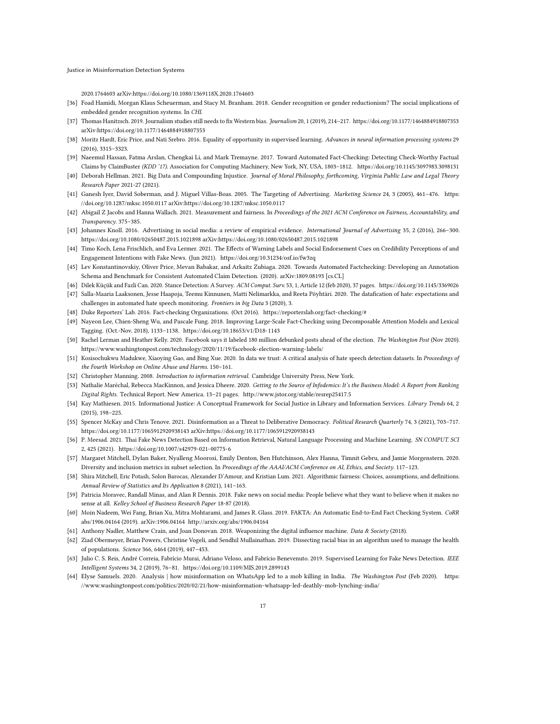[Justice in Misinformation Detection Systems](https://doi.org/10.1080/1369118X.2020.1764603)

[2020.1764603](https://doi.org/10.1080/1369118X.2020.1764603) arXiv[:https://doi.org/10.1080/1369118X.2020.1764603](https://arxiv.org/abs/https://doi.org/10.1080/1369118X.2020.1764603)

- <span id="page-16-28"></span>[36] Foad Hamidi, Morgan Klaus Scheuerman, and Stacy M. Branham. 2018. Gender recognition or gender reductionism? The social implications of embedded gender recognition systems. In CHI.
- <span id="page-16-23"></span>[37] Thomas Hanitzsch. 2019. Journalism studies still needs to fix Western bias. Journalism 20, 1 (2019), 214–217.<https://doi.org/10.1177/1464884918807353> arXiv[:https://doi.org/10.1177/1464884918807353](https://arxiv.org/abs/https://doi.org/10.1177/1464884918807353)
- <span id="page-16-19"></span>[38] Moritz Hardt, Eric Price, and Nati Srebro. 2016. Equality of opportunity in supervised learning. Advances in neural information processing systems 29 (2016), 3315–3323.
- <span id="page-16-13"></span>[39] Naeemul Hassan, Fatma Arslan, Chengkai Li, and Mark Tremayne. 2017. Toward Automated Fact-Checking: Detecting Check-Worthy Factual Claims by ClaimBuster (KDD '17). Association for Computing Machinery, New York, NY, USA, 1803–1812.<https://doi.org/10.1145/3097983.3098131>
- <span id="page-16-3"></span>[40] Deborah Hellman. 2021. Big Data and Compounding Injustice. Journal of Moral Philosophy, forthcoming, Virginia Public Law and Legal Theory Research Paper 2021-27 (2021).
- <span id="page-16-9"></span>[41] Ganesh Iyer, David Soberman, and J. Miguel Villas-Boas. 2005. The Targeting of Advertising. Marketing Science 24, 3 (2005), 461–476. [https:](https://doi.org/10.1287/mksc.1050.0117) [//doi.org/10.1287/mksc.1050.0117](https://doi.org/10.1287/mksc.1050.0117) arXiv[:https://doi.org/10.1287/mksc.1050.0117](https://arxiv.org/abs/https://doi.org/10.1287/mksc.1050.0117)
- <span id="page-16-20"></span>[42] Abigail Z Jacobs and Hanna Wallach. 2021. Measurement and fairness. In Proceedings of the 2021 ACM Conference on Fairness, Accountability, and Transparency. 375–385.
- <span id="page-16-10"></span>[43] Johannes Knoll. 2016. Advertising in social media: a review of empirical evidence. International Journal of Advertising 35, 2 (2016), 266–300. <https://doi.org/10.1080/02650487.2015.1021898> arXiv[:https://doi.org/10.1080/02650487.2015.1021898](https://arxiv.org/abs/https://doi.org/10.1080/02650487.2015.1021898)
- <span id="page-16-26"></span>[44] Timo Koch, Lena Frischlich, and Eva Lermer. 2021. The Effects of Warning Labels and Social Endorsement Cues on Credibility Perceptions of and Engagement Intentions with Fake News. (Jun 2021).<https://doi.org/10.31234/osf.io/fw3zq>
- <span id="page-16-14"></span>[45] Lev Konstantinovskiy, Oliver Price, Mevan Babakar, and Arkaitz Zubiaga. 2020. Towards Automated Factchecking: Developing an Annotation Schema and Benchmark for Consistent Automated Claim Detection. (2020). arXiv[:1809.08193](https://arxiv.org/abs/1809.08193) [cs.CL]
- <span id="page-16-24"></span>[46] Dilek Küçük and Fazli Can. 2020. Stance Detection: A Survey. ACM Comput. Surv. 53, 1. Article 12 (feb 2020), 37 pages.<https://doi.org/10.1145/3369026>
- <span id="page-16-7"></span>[47] Salla-Maaria Laaksonen, Jesse Haapoja, Teemu Kinnunen, Matti Nelimarkka, and Reeta Pöyhtäri. 2020. The datafication of hate: expectations and challenges in automated hate speech monitoring. Frontiers in big Data 3 (2020), 3.
- <span id="page-16-22"></span>[48] Duke Reporters' Lab. 2016. Fact-checking Organizations. (Oct 2016).<https://reporterslab.org/fact-checking/#>
- <span id="page-16-15"></span>[49] Nayeon Lee, Chien-Sheng Wu, and Pascale Fung. 2018. Improving Large-Scale Fact-Checking using Decomposable Attention Models and Lexical Tagging. (Oct.-Nov. 2018), 1133–1138.<https://doi.org/10.18653/v1/D18-1143>
- <span id="page-16-0"></span>[50] Rachel Lerman and Heather Kelly. 2020. Facebook says it labeled 180 million debunked posts ahead of the election. The Washington Post (Nov 2020). <https://www.washingtonpost.com/technology/2020/11/19/facebook-election-warning-labels/>
- <span id="page-16-6"></span>[51] Kosisochukwu Madukwe, Xiaoying Gao, and Bing Xue. 2020. In data we trust: A critical analysis of hate speech detection datasets. In Proceedings of the Fourth Workshop on Online Abuse and Harms. 150–161.
- <span id="page-16-21"></span>[52] Christopher Manning. 2008. Introduction to information retrieval. Cambridge University Press, New York.
- <span id="page-16-12"></span>[53] Nathalie Maréchal, Rebecca MacKinnon, and Jessica Dheere. 2020. Getting to the Source of Infodemics: It's the Business Model: A Report from Ranking Digital Rights. Technical Report. New America. 13–21 pages.<http://www.jstor.org/stable/resrep25417.5>
- <span id="page-16-1"></span>[54] Kay Mathiesen. 2015. Informational Justice: A Conceptual Framework for Social Justice in Library and Information Services. Library Trends 64, 2 (2015), 198–225.
- <span id="page-16-8"></span>[55] Spencer McKay and Chris Tenove. 2021. Disinformation as a Threat to Deliberative Democracy. Political Research Quarterly 74, 3 (2021), 703–717. <https://doi.org/10.1177/1065912920938143> arXiv[:https://doi.org/10.1177/1065912920938143](https://arxiv.org/abs/https://doi.org/10.1177/1065912920938143)
- <span id="page-16-16"></span>[56] P. Meesad. 2021. Thai Fake News Detection Based on Information Retrieval, Natural Language Processing and Machine Learning. SN COMPUT. SCI 2, 425 (2021).<https://doi.org/10.1007/s42979-021-00775-6>
- <span id="page-16-5"></span>[57] Margaret Mitchell, Dylan Baker, Nyalleng Moorosi, Emily Denton, Ben Hutchinson, Alex Hanna, Timnit Gebru, and Jamie Morgenstern. 2020. Diversity and inclusion metrics in subset selection. In Proceedings of the AAAI/ACM Conference on AI, Ethics, and Society. 117–123.
- <span id="page-16-2"></span>[58] Shira Mitchell, Eric Potash, Solon Barocas, Alexander D'Amour, and Kristian Lum. 2021. Algorithmic fairness: Choices, assumptions, and definitions. Annual Review of Statistics and Its Application 8 (2021), 141–163.
- <span id="page-16-27"></span>[59] Patricia Moravec, Randall Minas, and Alan R Dennis. 2018. Fake news on social media: People believe what they want to believe when it makes no sense at all. Kelley School of Business Research Paper 18-87 (2018).
- <span id="page-16-17"></span>[60] Moin Nadeem, Wei Fang, Brian Xu, Mitra Mohtarami, and James R. Glass. 2019. FAKTA: An Automatic End-to-End Fact Checking System. CoRR abs/1906.04164 (2019). arXiv:1906.04164<http://arxiv.org/abs/1906.04164>
- <span id="page-16-11"></span>[61] Anthony Nadler, Matthew Crain, and Joan Donovan. 2018. Weaponizing the digital influence machine. Data & Society (2018).
- <span id="page-16-4"></span>[62] Ziad Obermeyer, Brian Powers, Christine Vogeli, and Sendhil Mullainathan. 2019. Dissecting racial bias in an algorithm used to manage the health of populations. Science 366, 6464 (2019), 447–453.
- <span id="page-16-18"></span>[63] Julio C. S. Reis, André Correia, Fabrício Murai, Adriano Veloso, and Fabrício Benevenuto. 2019. Supervised Learning for Fake News Detection. IEEE Intelligent Systems 34, 2 (2019), 76–81.<https://doi.org/10.1109/MIS.2019.2899143>
- <span id="page-16-25"></span>[64] Elyse Samuels. 2020. Analysis | how misinformation on WhatsApp led to a mob killing in India. The Washington Post (Feb 2020). [https:](https://www.washingtonpost.com/politics/2020/02/21/how-misinformation-whatsapp-led-deathly-mob-lynching-india/) [//www.washingtonpost.com/politics/2020/02/21/how-misinformation-whatsapp-led-deathly-mob-lynching-india/](https://www.washingtonpost.com/politics/2020/02/21/how-misinformation-whatsapp-led-deathly-mob-lynching-india/)